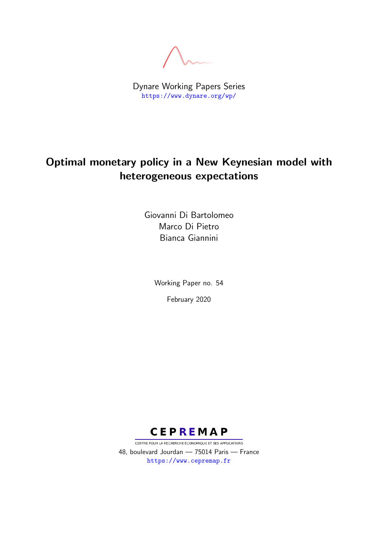Dynare Working Papers Series <https://www.dynare.org/wp/>

## Optimal monetary policy in a New Keynesian model with heterogeneous expectations

Giovanni Di Bartolomeo Marco Di Pietro Bianca Giannini

> Working Paper no. 54 February 2020



CENTRE POUR LA RECHERCHE ECONOMIQUE ET SES APPLICATIONS 48, boulevard Jourdan — 75014 Paris — France <https://www.cepremap.fr>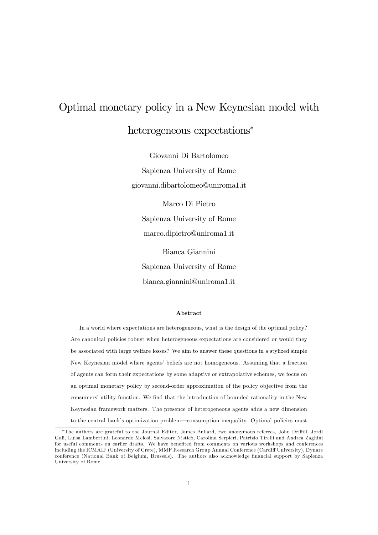# Optimal monetary policy in a New Keynesian model with heterogeneous expectations<sup>\*</sup>

Giovanni Di Bartolomeo Sapienza University of Rome giovanni.dibartolomeo@uniroma1.it

Marco Di Pietro Sapienza University of Rome marco.dipietro@uniroma1.it Bianca Giannini

Sapienza University of Rome bianca.giannini@uniroma1.it

#### Abstract

In a world where expectations are heterogeneous, what is the design of the optimal policy? Are canonical policies robust when heterogeneous expectations are considered or would they be associated with large welfare losses? We aim to answer these questions in a stylized simple New Keynesian model where agents' beliefs are not homogeneous. Assuming that a fraction of agents can form their expectations by some adaptive or extrapolative schemes, we focus on an optimal monetary policy by second-order approximation of the policy objective from the consumers' utility function. We find that the introduction of bounded rationality in the New Keynesian framework matters. The presence of heterogeneous agents adds a new dimension to the central bank's optimization problem—consumption inequality. Optimal policies must

<sup>\*</sup>The authors are grateful to the Journal Editor, James Bullard, two anonymous referees, John Driffill, Jordi Galì, Luisa Lambertini, Leonardo Melosi, Salvatore Nisticò, Carolina Serpieri, Patrizio Tirelli and Andrea Zaghini for useful comments on earlier drafts. We have benefited from comments on various workshops and conferences including the ICMAIF (University of Crete), MMF Research Group Annual Conference (Cardiff University), Dynare conference (National Bank of Belgium, Brussels). The authors also acknowledge financial support by Sapienza University of Rome.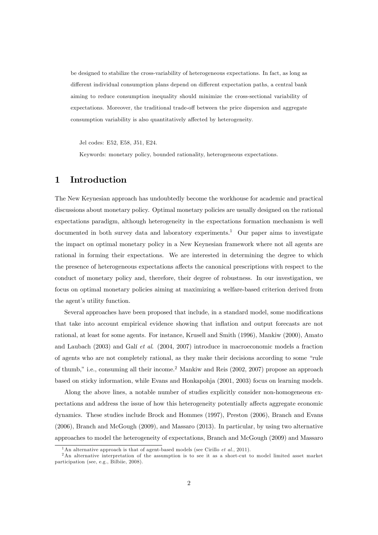be designed to stabilize the cross-variability of heterogeneous expectations. In fact, as long as different individual consumption plans depend on different expectation paths, a central bank aiming to reduce consumption inequality should minimize the cross-sectional variability of expectations. Moreover, the traditional trade-off between the price dispersion and aggregate consumption variability is also quantitatively affected by heterogeneity.

Jel codes: E52, E58, J51, E24.

Keywords: monetary policy, bounded rationality, heterogeneous expectations.

## 1 Introduction

The New Keynesian approach has undoubtedly become the workhouse for academic and practical discussions about monetary policy. Optimal monetary policies are usually designed on the rational expectations paradigm, although heterogeneity in the expectations formation mechanism is well documented in both survey data and laboratory experiments.<sup>1</sup> Our paper aims to investigate the impact on optimal monetary policy in a New Keynesian framework where not all agents are rational in forming their expectations. We are interested in determining the degree to which the presence of heterogeneous expectations affects the canonical prescriptions with respect to the conduct of monetary policy and, therefore, their degree of robustness. In our investigation, we focus on optimal monetary policies aiming at maximizing a welfare-based criterion derived from the agent's utility function.

Several approaches have been proposed that include, in a standard model, some modifications that take into account empirical evidence showing that ináation and output forecasts are not rational, at least for some agents. For instance, Krusell and Smith (1996), Mankiw (2000), Amato and Laubach (2003) and Galí et al. (2004, 2007) introduce in macroeconomic models a fraction of agents who are not completely rational, as they make their decisions according to some "rule of thumb," i.e., consuming all their income.<sup>2</sup> Mankiw and Reis (2002, 2007) propose an approach based on sticky information, while Evans and Honkapohja (2001, 2003) focus on learning models.

Along the above lines, a notable number of studies explicitly consider non-homogeneous expectations and address the issue of how this heterogeneity potentially affects aggregate economic dynamics. These studies include Brock and Hommes (1997), Preston (2006), Branch and Evans (2006), Branch and McGough (2009), and Massaro (2013). In particular, by using two alternative approaches to model the heterogeneity of expectations, Branch and McGough (2009) and Massaro

<sup>&</sup>lt;sup>1</sup>An alternative approach is that of agent-based models (see Cirillo *et al.*, 2011).

<sup>&</sup>lt;sup>2</sup>An alternative interpretation of the assumption is to see it as a short-cut to model limited asset market participation (see, e.g., Bilbiie, 2008).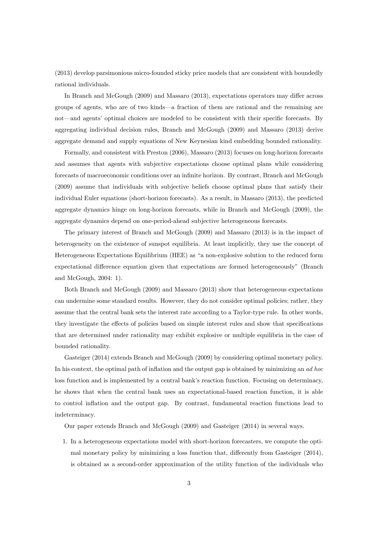(2013) develop parsimonious micro-founded sticky price models that are consistent with boundedly rational individuals.

In Branch and McGough  $(2009)$  and Massaro  $(2013)$ , expectations operators may differ across groups of agents, who are of two kinds—a fraction of them are rational and the remaining are not—and agents' optimal choices are modeled to be consistent with their specific forecasts. By aggregating individual decision rules, Branch and McGough (2009) and Massaro (2013) derive aggregate demand and supply equations of New Keynesian kind embedding bounded rationality.

Formally, and consistent with Preston (2006), Massaro (2013) focuses on long-horizon forecasts and assumes that agents with subjective expectations choose optimal plans while considering forecasts of macroeconomic conditions over an infinite horizon. By contrast, Branch and McGough (2009) assume that individuals with subjective beliefs choose optimal plans that satisfy their individual Euler equations (short-horizon forecasts). As a result, in Massaro (2013), the predicted aggregate dynamics hinge on long-horizon forecasts, while in Branch and McGough (2009), the aggregate dynamics depend on one-period-ahead subjective heterogeneous forecasts.

The primary interest of Branch and McGough (2009) and Massaro (2013) is in the impact of heterogeneity on the existence of sunspot equilibria. At least implicitly, they use the concept of Heterogeneous Expectations Equilibrium (HEE) as "a non-explosive solution to the reduced form expectational difference equation given that expectations are formed heterogeneously" (Branch and McGough, 2004: 1).

Both Branch and McGough (2009) and Massaro (2013) show that heterogeneous expectations can undermine some standard results. However, they do not consider optimal policies; rather, they assume that the central bank sets the interest rate according to a Taylor-type rule. In other words, they investigate the effects of policies based on simple interest rules and show that specifications that are determined under rationality may exhibit explosive or multiple equilibria in the case of bounded rationality.

Gasteiger (2014) extends Branch and McGough (2009) by considering optimal monetary policy. In his context, the optimal path of inflation and the output gap is obtained by minimizing an ad hoc loss function and is implemented by a central bank's reaction function. Focusing on determinacy, he shows that when the central bank uses an expectational-based reaction function, it is able to control ináation and the output gap. By contrast, fundamental reaction functions lead to indeterminacy.

Our paper extends Branch and McGough (2009) and Gasteiger (2014) in several ways.

1. In a heterogeneous expectations model with short-horizon forecasters, we compute the optimal monetary policy by minimizing a loss function that, differently from Gasteiger (2014), is obtained as a second-order approximation of the utility function of the individuals who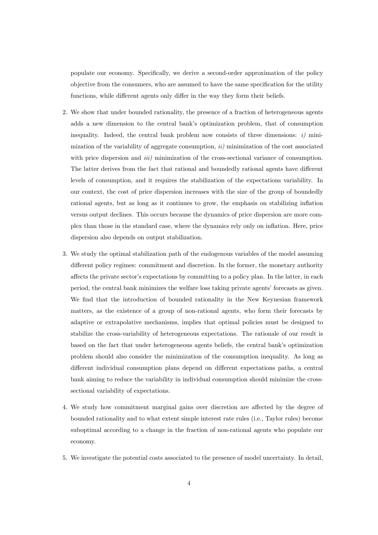populate our economy. SpeciÖcally, we derive a second-order approximation of the policy objective from the consumers, who are assumed to have the same specification for the utility functions, while different agents only differ in the way they form their beliefs.

- 2. We show that under bounded rationality, the presence of a fraction of heterogeneous agents adds a new dimension to the central bank's optimization problem, that of consumption inequality. Indeed, the central bank problem now consists of three dimensions:  $i$ ) minimization of the variability of aggregate consumption,  $ii)$  minimization of the cost associated with price dispersion and *iii*) minimization of the cross-sectional variance of consumption. The latter derives from the fact that rational and boundedly rational agents have different levels of consumption, and it requires the stabilization of the expectations variability. In our context, the cost of price dispersion increases with the size of the group of boundedly rational agents, but as long as it continues to grow, the emphasis on stabilizing inflation versus output declines. This occurs because the dynamics of price dispersion are more complex than those in the standard case, where the dynamics rely only on ináation. Here, price dispersion also depends on output stabilization.
- 3. We study the optimal stabilization path of the endogenous variables of the model assuming different policy regimes: commitment and discretion. In the former, the monetary authority affects the private sector's expectations by committing to a policy plan. In the latter, in each period, the central bank minimizes the welfare loss taking private agents' forecasts as given. We find that the introduction of bounded rationality in the New Keynesian framework matters, as the existence of a group of non-rational agents, who form their forecasts by adaptive or extrapolative mechanisms, implies that optimal policies must be designed to stabilize the cross-variability of heterogeneous expectations. The rationale of our result is based on the fact that under heterogeneous agents beliefs, the central bank's optimization problem should also consider the minimization of the consumption inequality. As long as different individual consumption plans depend on different expectations paths, a central bank aiming to reduce the variability in individual consumption should minimize the crosssectional variability of expectations.
- 4. We study how commitment marginal gains over discretion are affected by the degree of bounded rationality and to what extent simple interest rate rules (i.e., Taylor rules) become suboptimal according to a change in the fraction of non-rational agents who populate our economy.
- 5. We investigate the potential costs associated to the presence of model uncertainty. In detail,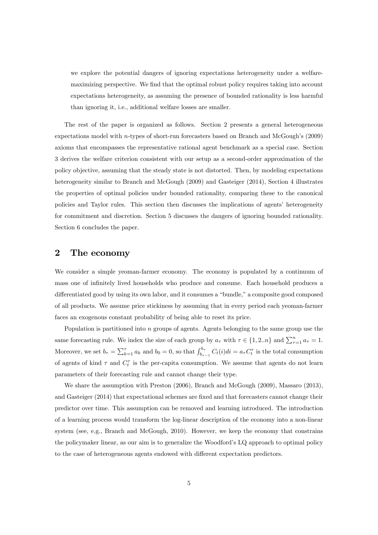we explore the potential dangers of ignoring expectations heterogeneity under a welfaremaximizing perspective. We find that the optimal robust policy requires taking into account expectations heterogeneity, as assuming the presence of bounded rationality is less harmful than ignoring it, i.e., additional welfare losses are smaller.

The rest of the paper is organized as follows. Section 2 presents a general heterogeneous expectations model with  $n$ -types of short-run forecasters based on Branch and McGough's  $(2009)$ axioms that encompasses the representative rational agent benchmark as a special case. Section 3 derives the welfare criterion consistent with our setup as a second-order approximation of the policy objective, assuming that the steady state is not distorted. Then, by modeling expectations heterogeneity similar to Branch and McGough (2009) and Gasteiger (2014), Section 4 illustrates the properties of optimal policies under bounded rationality, comparing these to the canonical policies and Taylor rules. This section then discusses the implications of agents' heterogeneity for commitment and discretion. Section 5 discusses the dangers of ignoring bounded rationality. Section 6 concludes the paper.

## 2 The economy

We consider a simple yeoman-farmer economy. The economy is populated by a continuum of mass one of infinitely lived households who produce and consume. Each household produces a differentiated good by using its own labor, and it consumes a "bundle," a composite good composed of all products. We assume price stickiness by assuming that in every period each yeoman-farmer faces an exogenous constant probability of being able to reset its price.

Population is partitioned into n groups of agents. Agents belonging to the same group use the same forecasting rule. We index the size of each group by  $a_{\tau}$  with  $\tau \in \{1, 2..n\}$  and  $\sum_{\tau=1}^{n} a_{\tau} = 1$ . Moreover, we set  $b_{\tau} = \sum_{k=1}^{\tau} a_k$  and  $b_0 = 0$ , so that  $\int_{b_{\tau-1}}^{b_{\tau}} C_t(i) di = a_{\tau} C_t^{\tau}$  is the total consumption of agents of kind  $\tau$  and  $C_t^{\tau}$  is the per-capita consumption. We assume that agents do not learn parameters of their forecasting rule and cannot change their type.

We share the assumption with Preston (2006), Branch and McGough (2009), Massaro (2013), and Gasteiger (2014) that expectational schemes are fixed and that forecasters cannot change their predictor over time. This assumption can be removed and learning introduced. The introduction of a learning process would transform the log-linear description of the economy into a non-linear system (see, e.g., Branch and McGough, 2010). However, we keep the economy that constrains the policymaker linear, as our aim is to generalize the Woodford's LQ approach to optimal policy to the case of heterogeneous agents endowed with different expectation predictors.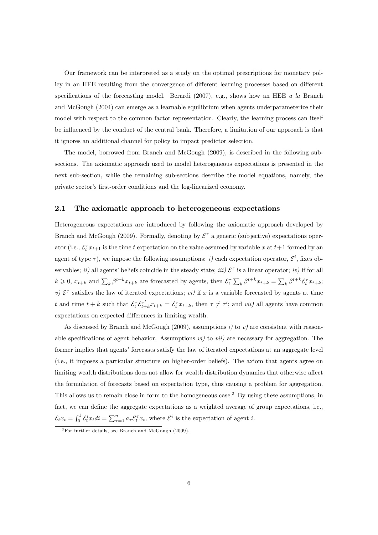Our framework can be interpreted as a study on the optimal prescriptions for monetary policy in an HEE resulting from the convergence of different learning processes based on different specifications of the forecasting model. Berardi (2007), e.g., shows how an HEE a la Branch and McGough (2004) can emerge as a learnable equilibrium when agents underparameterize their model with respect to the common factor representation. Clearly, the learning process can itself be influenced by the conduct of the central bank. Therefore, a limitation of our approach is that it ignores an additional channel for policy to impact predictor selection.

The model, borrowed from Branch and McGough (2009), is described in the following subsections. The axiomatic approach used to model heterogeneous expectations is presented in the next sub-section, while the remaining sub-sections describe the model equations, namely, the private sector's first-order conditions and the log-linearized economy.

#### 2.1 The axiomatic approach to heterogeneous expectations

Heterogeneous expectations are introduced by following the axiomatic approach developed by Branch and McGough (2009). Formally, denoting by  $\mathcal{E}^{\tau}$  a generic (subjective) expectations operator (i.e.,  $\mathcal{E}_t^{\tau} x_{t+1}$  is the time t expectation on the value assumed by variable x at  $t+1$  formed by an agent of type  $\tau$ ), we impose the following assumptions: *i*) each expectation operator,  $\mathcal{E}^i$ , fixes observables; *ii*) all agents' beliefs coincide in the steady state; *iii*)  $\mathcal{E}^{\tau}$  is a linear operator; *iv*) if for all  $k \geqslant 0$ ,  $x_{t+k}$  and  $\sum_{k} \beta^{t+k} x_{t+k}$  are forecasted by agents, then  $\mathcal{E}_{t}^{\tau} \sum_{k} \beta^{t+k} x_{t+k} = \sum_{k} \beta^{t+k} \mathcal{E}_{t}^{\tau} x_{t+k}$ ; v)  $\mathcal{E}^{\tau}$  satisfies the law of iterated expectations; vi) if x is a variable forecasted by agents at time t and time  $t + k$  such that  $\mathcal{E}_t^{\tau} \mathcal{E}_{t+k}^{\tau'} x_{t+k} = \mathcal{E}_t^{\tau} x_{t+k}$ , then  $\tau \neq \tau'$ ; and vii) all agents have common expectations on expected differences in limiting wealth.

As discussed by Branch and McGough (2009), assumptions i) to v) are consistent with reasonable specifications of agent behavior. Assumptions  $vi$  to  $vii$  are necessary for aggregation. The former implies that agents' forecasts satisfy the law of iterated expectations at an aggregate level (i.e., it imposes a particular structure on higher-order beliefs). The axiom that agents agree on limiting wealth distributions does not allow for wealth distribution dynamics that otherwise affect the formulation of forecasts based on expectation type, thus causing a problem for aggregation. This allows us to remain close in form to the homogeneous case.<sup>3</sup> By using these assumptions, in fact, we can define the aggregate expectations as a weighted average of group expectations, i.e.,  $\mathcal{E}_t x_t = \int_0^1 \mathcal{E}_t^i x_t dt = \sum_{\tau=1}^n a_\tau \mathcal{E}_t^\tau x_t$ , where  $\mathcal{E}^i$  is the expectation of agent *i*.

 $3\overline{\text{For further details, see Branch and McGough (2009)}}$ .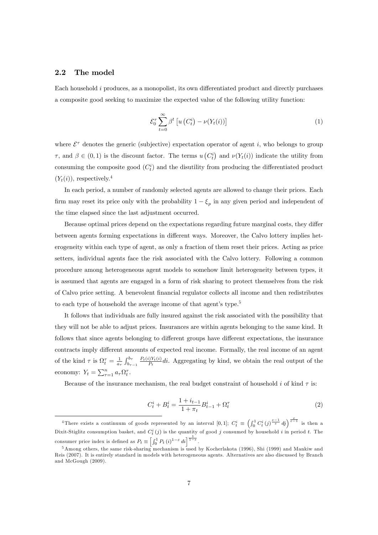#### 2.2 The model

Each household  $i$  produces, as a monopolist, its own differentiated product and directly purchases a composite good seeking to maximize the expected value of the following utility function:

$$
\mathcal{E}_0^{\tau} \sum_{t=0}^{\infty} \beta^t \left[ u \left( C_t^i \right) - \nu(Y_t(i)) \right] \tag{1}
$$

where  $\mathcal{E}^{\tau}$  denotes the generic (subjective) expectation operator of agent i, who belongs to group  $\tau$ , and  $\beta \in (0,1)$  is the discount factor. The terms  $u(C_t^i)$  and  $\nu(Y_t(i))$  indicate the utility from consuming the composite good  $(C_t^i)$  and the disutility from producing the differentiated product  $(Y_t(i))$ , respectively.<sup>4</sup>

In each period, a number of randomly selected agents are allowed to change their prices. Each firm may reset its price only with the probability  $1 - \xi_p$  in any given period and independent of the time elapsed since the last adjustment occurred.

Because optimal prices depend on the expectations regarding future marginal costs, they differ between agents forming expectations in different ways. Moreover, the Calvo lottery implies heterogeneity within each type of agent, as only a fraction of them reset their prices. Acting as price setters, individual agents face the risk associated with the Calvo lottery. Following a common procedure among heterogeneous agent models to somehow limit heterogeneity between types, it is assumed that agents are engaged in a form of risk sharing to protect themselves from the risk of Calvo price setting. A benevolent Önancial regulator collects all income and then redistributes to each type of household the average income of that agent's type.<sup>5</sup>

It follows that individuals are fully insured against the risk associated with the possibility that they will not be able to adjust prices. Insurances are within agents belonging to the same kind. It follows that since agents belonging to different groups have different expectations, the insurance contracts imply different amounts of expected real income. Formally, the real income of an agent of the kind  $\tau$  is  $\Omega_t^{\tau} = \frac{1}{a_{\tau}} \int_{b_{\tau-1}}^{b_{\tau}}$  $P_t(i)Y_t(i)$  $P_t^{\{y_{t+1}\}}$ di. Aggregating by kind, we obtain the real output of the economy:  $Y_t = \sum_{\tau=1}^n a_\tau \Omega_t^\tau$ .

Because of the insurance mechanism, the real budget constraint of household i of kind  $\tau$  is:

$$
C_t^i + B_t^i = \frac{1 + i_{t-1}}{1 + \pi_t} B_{t-1}^i + \Omega_t^{\tau}
$$
\n<sup>(2)</sup>

<sup>&</sup>lt;sup>4</sup>There exists a continuum of goods represented by an interval [0,1];  $C_t^i \equiv \left(\int_0^1 C_t^i(j)^{\frac{\varepsilon-1}{\varepsilon}} d_jj\right)^{\frac{\varepsilon}{\varepsilon-1}}$  is then a Dixit-Stiglitz consumption basket, and  $C_t^i(j)$  is the quantity of good j consumed by household i in period t. The consumer price index is defined as  $P_t \equiv \left[\int_0^1 P_t (i)^{1-\varepsilon} di \right]^{\frac{1}{1-\varepsilon}}$ .

<sup>5</sup>Among others, the same risk-sharing mechanism is used by Kocherlakota (1996), Shi (1999) and Mankiw and Reis (2007). It is entirely standard in models with heterogeneous agents. Alternatives are also discussed by Branch and McGough (2009).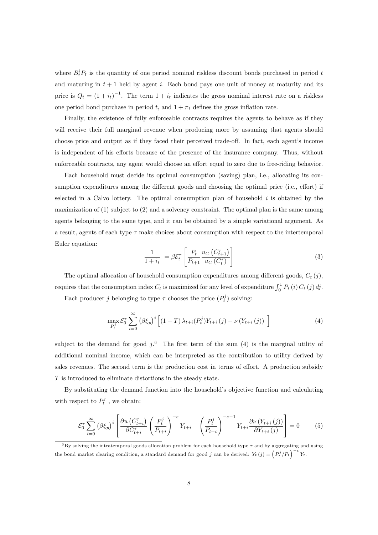where  $B_t^i P_t$  is the quantity of one period nominal riskless discount bonds purchased in period t and maturing in  $t + 1$  held by agent i. Each bond pays one unit of money at maturity and its price is  $Q_t = (1 + i_t)^{-1}$ . The term  $1 + i_t$  indicates the gross nominal interest rate on a riskless one period bond purchase in period t, and  $1 + \pi_t$  defines the gross inflation rate.

Finally, the existence of fully enforceable contracts requires the agents to behave as if they will receive their full marginal revenue when producing more by assuming that agents should choose price and output as if they faced their perceived trade-off. In fact, each agent's income is independent of his efforts because of the presence of the insurance company. Thus, without enforceable contracts, any agent would choose an effort equal to zero due to free-riding behavior.

Each household must decide its optimal consumption (saving) plan, i.e., allocating its consumption expenditures among the different goods and choosing the optimal price (i.e., effort) if selected in a Calvo lottery. The optimal consumption plan of household  $i$  is obtained by the maximization of (1) subject to (2) and a solvency constraint. The optimal plan is the same among agents belonging to the same type, and it can be obtained by a simple variational argument. As a result, agents of each type  $\tau$  make choices about consumption with respect to the intertemporal Euler equation:

$$
\frac{1}{1+i_t} = \beta \mathcal{E}_t^{\tau} \left[ \frac{P_t}{P_{t+1}} \frac{u_C \left( C_{t+1}^{\tau} \right)}{u_C \left( C_t^{\tau} \right)} \right] \tag{3}
$$

The optimal allocation of household consumption expenditures among different goods,  $C_t(j)$ , requires that the consumption index  $C_t$  is maximized for any level of expenditure  $\int_0^1 P_t(i) C_t(j) dj$ .

Each producer j belonging to type  $\tau$  chooses the price  $(P_t^j)$  solving:

$$
\max_{P_t^j} \mathcal{E}_0^{\tau} \sum_{i=0}^{\infty} \left( \beta \xi_p \right)^i \left[ (1-T) \lambda_{t+i}(P_t^j) Y_{t+i}(j) - \nu \left( Y_{t+i}(j) \right) \right] \tag{4}
$$

subject to the demand for good  $j$ .<sup>6</sup> The first term of the sum (4) is the marginal utility of additional nominal income, which can be interpreted as the contribution to utility derived by sales revenues. The second term is the production cost in terms of effort. A production subsidy T is introduced to eliminate distortions in the steady state.

By substituting the demand function into the household's objective function and calculating with respect to  $P_t^j$ , we obtain:

$$
\mathcal{E}_0^{\tau} \sum_{i=0}^{\infty} \left( \beta \xi_p \right)^i \left[ \frac{\partial u \left( C_{t+i}^{\tau} \right)}{\partial C_{t+i}^{\tau}} \left( \frac{P_t^j}{P_{t+i}} \right)^{-\varepsilon} Y_{t+i} - \left( \frac{P_t^j}{P_{t+i}} \right)^{-\varepsilon-1} Y_{t+i} \frac{\partial v \left( Y_{t+i} \left( j \right) \right)}{\partial Y_{t+i} \left( j \right)} \right] = 0 \tag{5}
$$

 $6By$  solving the intratemporal goods allocation problem for each household type  $\tau$  and by aggregating and using the bond market clearing condition, a standard demand for good j can be derived:  $Y_t(j) = \left(P_t^j/P_t\right)^{-\varepsilon} Y_t$ .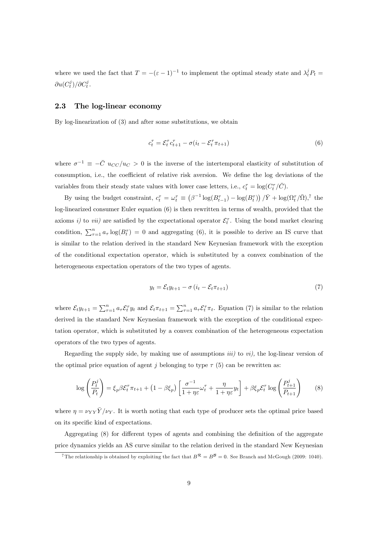where we used the fact that  $T = -(\varepsilon - 1)^{-1}$  to implement the optimal steady state and  $\lambda_t^j P_t =$  $\partial u(C_t^j)/\partial C_t^j$ .

#### 2.3 The log-linear economy

By log-linearization of (3) and after some substitutions, we obtain

$$
c_t^{\tau} = \mathcal{E}_t^{\tau} c_{t+1}^{\tau} - \sigma(i_t - \mathcal{E}_t^{\tau} \pi_{t+1})
$$
\n<sup>(6)</sup>

where  $\sigma^{-1} \equiv -\bar{C} u_{CC}/u_C > 0$  is the inverse of the intertemporal elasticity of substitution of consumption, i.e., the coefficient of relative risk aversion. We define the log deviations of the variables from their steady state values with lower case letters, i.e.,  $c_t^{\tau} = \log(C_t^{\tau}/\bar{C})$ .

By using the budget constraint,  $c_t^{\tau} = \omega_t^{\tau} \equiv (\beta^{-1} \log(B_{t-1}^{\tau}) - \log(B_t^{\tau})) / \bar{Y} + \log(\Omega_t^{\tau}/\bar{\Omega})$ ,<sup>7</sup> the log-linearized consumer Euler equation (6) is then rewritten in terms of wealth, provided that the axioms *i*) to *vii*) are satisfied by the expectational operator  $\mathcal{E}_t^{\tau}$ . Using the bond market clearing condition,  $\sum_{\tau=1}^n a_{\tau} \log(B_{t}^{\tau}) = 0$  and aggregating (6), it is possible to derive an IS curve that is similar to the relation derived in the standard New Keynesian framework with the exception of the conditional expectation operator, which is substituted by a convex combination of the heterogeneous expectation operators of the two types of agents.

$$
y_t = \mathcal{E}_t y_{t+1} - \sigma \left( i_t - \mathcal{E}_t \pi_{t+1} \right) \tag{7}
$$

where  $\mathcal{E}_t y_{t+1} = \sum_{\tau=1}^n a_\tau \mathcal{E}_t^\tau y_t$  and  $\mathcal{E}_t \pi_{t+1} = \sum_{\tau=1}^n a_\tau \mathcal{E}_t^\tau \pi_t$ . Equation (7) is similar to the relation derived in the standard New Keynesian framework with the exception of the conditional expectation operator, which is substituted by a convex combination of the heterogeneous expectation operators of the two types of agents.

Regarding the supply side, by making use of assumptions  $iii)$  to  $vi)$ , the log-linear version of the optimal price equation of agent j belonging to type  $\tau$  (5) can be rewritten as:

$$
\log\left(\frac{P_t^j}{P_t}\right) = \xi_p \beta \mathcal{E}_t^\tau \pi_{t+1} + \left(1 - \beta \xi_p\right) \left[\frac{\sigma^{-1}}{1 + \eta \varepsilon} \omega_t^\tau + \frac{\eta}{1 + \eta \varepsilon} y_t\right] + \beta \xi_p \mathcal{E}_t^\tau \log\left(\frac{P_{t+1}^j}{P_{t+1}}\right) \tag{8}
$$

where  $\eta = \nu_{YY} \bar{Y}/\nu_Y$ . It is worth noting that each type of producer sets the optimal price based on its specific kind of expectations.

Aggregating  $(8)$  for different types of agents and combining the definition of the aggregate price dynamics yields an AS curve similar to the relation derived in the standard New Keynesian

<sup>&</sup>lt;sup>7</sup>The relationship is obtained by exploiting the fact that  $B^R = B^B = 0$ . See Branch and McGough (2009: 1040).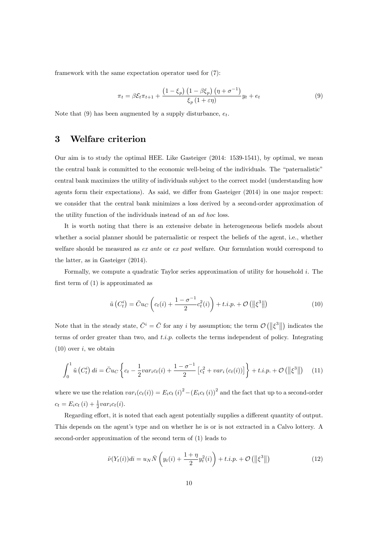framework with the same expectation operator used for (7):

$$
\pi_t = \beta \mathcal{E}_t \pi_{t+1} + \frac{\left(1 - \xi_p\right) \left(1 - \beta \xi_p\right) \left(\eta + \sigma^{-1}\right)}{\xi_p \left(1 + \varepsilon \eta\right)} y_t + e_t \tag{9}
$$

Note that (9) has been augmented by a supply disturbance,  $e_t$ .

## 3 Welfare criterion

Our aim is to study the optimal HEE. Like Gasteiger (2014: 1539-1541), by optimal, we mean the central bank is committed to the economic well-being of the individuals. The "paternalistic" central bank maximizes the utility of individuals subject to the correct model (understanding how agents form their expectations). As said, we differ from Gasteiger  $(2014)$  in one major respect: we consider that the central bank minimizes a loss derived by a second-order approximation of the utility function of the individuals instead of an ad hoc loss.

It is worth noting that there is an extensive debate in heterogeneous beliefs models about whether a social planner should be paternalistic or respect the beliefs of the agent, i.e., whether welfare should be measured as ex ante or ex post welfare. Our formulation would correspond to the latter, as in Gasteiger (2014).

Formally, we compute a quadratic Taylor series approximation of utility for household i. The first term of  $(1)$  is approximated as

$$
\tilde{u}\left(C_t^i\right) = \bar{C}u_C\left(c_t(i) + \frac{1-\sigma^{-1}}{2}c_t^2(i)\right) + t.i.p. + \mathcal{O}\left(\left\|\xi^3\right\|\right) \tag{10}
$$

Note that in the steady state,  $\bar{C}^i = \bar{C}$  for any i by assumption; the term  $\mathcal{O}(|\xi^3||)$  indicates the terms of order greater than two, and  $t.i.p.$  collects the terms independent of policy. Integrating  $(10)$  over i, we obtain

$$
\int_0^1 \tilde{u}(C_t^i) \, dt = \bar{C}u_C \left\{ c_t - \frac{1}{2} \nu a r_i c_t(i) + \frac{1 - \sigma^{-1}}{2} \left[ c_t^2 + \nu a r_i \left( c_t(i) \right) \right] \right\} + t.i.p. + \mathcal{O}\left( \left\| \xi^3 \right\| \right) \tag{11}
$$

where we use the relation  $var_i(c_t(i)) = E_i c_t (i)^2 - (E_i c_t (i))^2$  and the fact that up to a second-order  $c_t = E_i c_t (i) + \frac{1}{2} var_i c_t (i).$ 

Regarding effort, it is noted that each agent potentially supplies a different quantity of output. This depends on the agent's type and on whether he is or is not extracted in a Calvo lottery. A second-order approximation of the second term of (1) leads to

$$
\tilde{\nu}(Y_t(i))di = u_N \bar{N}\left(y_t(i) + \frac{1+\eta}{2}y_t^2(i)\right) + t.i.p. + \mathcal{O}\left(\left\|\xi^3\right\|\right) \tag{12}
$$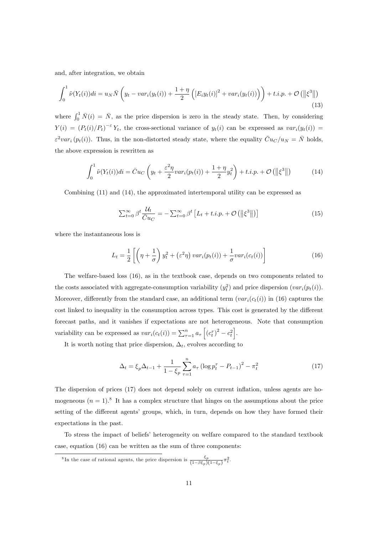and, after integration, we obtain

$$
\int_0^1 \tilde{\nu}(Y_t(i))di = u_N \bar{N}\left(y_t - var_i(y_t(i)) + \frac{1+\eta}{2}\left([E_i y_t(i)]^2 + var_i(y_t(i))\right)\right) + t.i.p. + \mathcal{O}\left(\left\|\xi^3\right\|\right)
$$
\n(13)

where  $\int_0^1 \bar{N}(i) = \bar{N}$ , as the price dispersion is zero in the steady state. Then, by considering  $Y(i) = (P_t(i)/P_t)^{-\epsilon} Y_t$ , the cross-sectional variance of  $y_t(i)$  can be expressed as  $var_i(y_t(i)) =$  $\varepsilon^2 var_i(p_t(i))$ . Thus, in the non-distorted steady state, where the equality  $\bar{C}u_C/u_N = \bar{N}$  holds, the above expression is rewritten as

$$
\int_0^1 \tilde{\nu}(Y_t(i))di = \bar{C}u_C\left(y_t + \frac{\varepsilon^2 \eta}{2}var_i(p_t(i)) + \frac{1 + \eta}{2}y_t^2\right) + t.i.p. + \mathcal{O}\left(\left\|\xi^3\right\|\right) \tag{14}
$$

Combining (11) and (14), the approximated intertemporal utility can be expressed as

$$
\sum_{t=0}^{\infty} \beta^t \frac{\mathcal{U}_t}{\bar{C}u_C} = -\sum_{t=0}^{\infty} \beta^t \left[ L_t + t.i.p. + \mathcal{O}\left( \left\| \xi^3 \right\| \right) \right] \tag{15}
$$

where the instantaneous loss is

$$
L_t = \frac{1}{2} \left[ \left( \eta + \frac{1}{\sigma} \right) y_t^2 + \left( \varepsilon^2 \eta \right) var_i(p_t(i)) + \frac{1}{\sigma} var_i(c_t(i)) \right]
$$
 (16)

The welfare-based loss (16), as in the textbook case, depends on two components related to the costs associated with aggregate-consumption variability  $(y_t^2)$  and price dispersion  $(var_i(p_t(i))$ . Moreover, differently from the standard case, an additional term  $(var_i(c_t(i))$  in (16) captures the cost linked to inequality in the consumption across types. This cost is generated by the different forecast paths, and it vanishes if expectations are not heterogeneous. Note that consumption variability can be expressed as  $var_i(c_t(i)) = \sum_{\tau=1}^n a_{\tau} \left[ (c_t^{\tau})^2 - c_t^2 \right]$ .

It is worth noting that price dispersion,  $\Delta_t$ , evolves according to

$$
\Delta_t = \xi_p \Delta_{t-1} + \frac{1}{1 - \xi_p} \sum_{\tau=1}^n a_\tau \left( \log p_t^\tau - P_{t-1} \right)^2 - \pi_t^2 \tag{17}
$$

The dispersion of prices (17) does not depend solely on current inflation, unless agents are homogeneous  $(n = 1)^8$  It has a complex structure that hinges on the assumptions about the price setting of the different agents' groups, which, in turn, depends on how they have formed their expectations in the past.

To stress the impact of beliefs' heterogeneity on welfare compared to the standard textbook case, equation (16) can be written as the sum of three components:

<sup>8</sup>In the case of rational agents, the price dispersion is  $\frac{\xi_p}{(1-\beta\xi_p)(1-\xi_p)}\pi_t^2$ .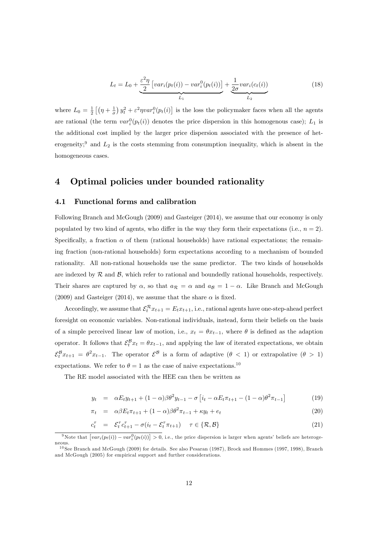$$
L_t = L_0 + \underbrace{\frac{\varepsilon^2 \eta}{2} \left[ var_i(p_t(i)) - var_i^0(p_t(i)) \right]}_{L_1} + \underbrace{\frac{1}{2\sigma} var_i(c_t(i))}_{L_2}
$$
 (18)

where  $L_0 = \frac{1}{2} \left[ \left( \eta + \frac{1}{\sigma} \right) y_t^2 + \varepsilon^2 \eta \nu a r_i^0(p_t(i) \right]$  is the loss the policymaker faces when all the agents are rational (the term  $var_i^0(p_t(i))$  denotes the price dispersion in this homogenous case);  $L_1$  is the additional cost implied by the larger price dispersion associated with the presence of heterogeneity;<sup>9</sup> and  $L_2$  is the costs stemming from consumption inequality, which is absent in the homogeneous cases.

## 4 Optimal policies under bounded rationality

#### 4.1 Functional forms and calibration

Following Branch and McGough (2009) and Gasteiger (2014), we assume that our economy is only populated by two kind of agents, who differ in the way they form their expectations (i.e.,  $n = 2$ ). Specifically, a fraction  $\alpha$  of them (rational households) have rational expectations; the remaining fraction (non-rational households) form expectations according to a mechanism of bounded rationality. All non-rational households use the same predictor. The two kinds of households are indexed by  $R$  and  $B$ , which refer to rational and boundedly rational households, respectively. Their shares are captured by  $\alpha$ , so that  $a_{\mathcal{R}} = \alpha$  and  $a_{\mathcal{B}} = 1 - \alpha$ . Like Branch and McGough (2009) and Gasteiger (2014), we assume that the share  $\alpha$  is fixed.

Accordingly, we assume that  $\mathcal{E}_t^R x_{t+1} = E_t x_{t+1}$ , i.e., rational agents have one-step-ahead perfect foresight on economic variables. Non-rational individuals, instead, form their beliefs on the basis of a simple perceived linear law of motion, i.e.,  $x_t = \theta x_{t-1}$ , where  $\theta$  is defined as the adaption operator. It follows that  $\mathcal{E}_t^B x_t = \theta x_{t-1}$ , and applying the law of iterated expectations, we obtain  $\mathcal{E}_t^B x_{t+1} = \theta^2 x_{t-1}$ . The operator  $\mathcal{E}^B$  is a form of adaptive  $(\theta < 1)$  or extrapolative  $(\theta > 1)$ expectations. We refer to  $\theta = 1$  as the case of naive expectations.<sup>10</sup>

The RE model associated with the HEE can then be written as

$$
y_t = \alpha E_t y_{t+1} + (1 - \alpha)\beta \theta^2 y_{t-1} - \sigma \left[ i_t - \alpha E_t \pi_{t+1} - (1 - \alpha)\theta^2 \pi_{t-1} \right] \tag{19}
$$

$$
\pi_t = \alpha \beta E_t \pi_{t+1} + (1 - \alpha) \beta \theta^2 \pi_{t-1} + \kappa y_t + e_t \tag{20}
$$

$$
c_t^{\tau} = \mathcal{E}_t^{\tau} c_{t+1}^{\tau} - \sigma(i_t - \mathcal{E}_t^{\tau} \pi_{t+1}) \quad \tau \in \{\mathcal{R}, \mathcal{B}\}
$$
\n
$$
(21)
$$

<sup>&</sup>lt;sup>9</sup>Note that  $\left[var_i(p_t(i)) - var_i^0(p_t(i))\right] > 0$ , i.e., the price dispersion is larger when agents' beliefs are heterogeneous.

<sup>&</sup>lt;sup>10</sup> See Branch and McGough (2009) for details. See also Pesaran (1987), Brock and Hommes (1997, 1998), Branch and McGough (2005) for empirical support and further considerations.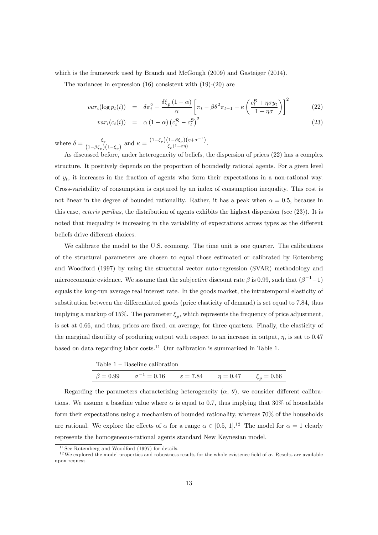which is the framework used by Branch and McGough (2009) and Gasteiger (2014).

The variances in expression  $(16)$  consistent with  $(19)-(20)$  are

$$
var_i(\log p_t(i)) = \delta \pi_t^2 + \frac{\delta \xi_p (1 - \alpha)}{\alpha} \left[ \pi_t - \beta \theta^2 \pi_{t-1} - \kappa \left( \frac{c_t^{\mathcal{B}} + \eta \sigma y_t}{1 + \eta \sigma} \right) \right]^2 \tag{22}
$$

$$
var_i(c_t(i)) = \alpha (1 - \alpha) (c_t^{\mathcal{R}} - c_t^{\mathcal{B}})^2
$$
\n(23)

where  $\delta = \frac{\xi_p}{(1 - \beta \epsilon)}$  $\frac{\xi_p}{(1-\beta\xi_p)(1-\xi_p)}$  and  $\kappa = \frac{(1-\xi_p)(1-\beta\xi_p)(\eta+\sigma^{-1})}{\xi_p(1+\varepsilon\eta)}$  $\frac{\left(1-\rho\varsigma_p\right)\left(\eta+\sigma\right)}{\left(\varsigma_p(1+\varepsilon\eta)\right)}$ .

As discussed before, under heterogeneity of beliefs, the dispersion of prices (22) has a complex structure. It positively depends on the proportion of boundedly rational agents. For a given level of  $y_t$ , it increases in the fraction of agents who form their expectations in a non-rational way. Cross-variability of consumption is captured by an index of consumption inequality. This cost is not linear in the degree of bounded rationality. Rather, it has a peak when  $\alpha = 0.5$ , because in this case, ceteris paribus, the distribution of agents exhibits the highest dispersion (see (23)). It is noted that inequality is increasing in the variability of expectations across types as the different beliefs drive different choices.

We calibrate the model to the U.S. economy. The time unit is one quarter. The calibrations of the structural parameters are chosen to equal those estimated or calibrated by Rotemberg and Woodford (1997) by using the structural vector auto-regression (SVAR) methodology and microeconomic evidence. We assume that the subjective discount rate  $\beta$  is 0.99, such that  $(\beta^{-1}-1)$ equals the long-run average real interest rate. In the goods market, the intratemporal elasticity of substitution between the differentiated goods (price elasticity of demand) is set equal to 7.84, thus implying a markup of 15%. The parameter  $\xi_p$ , which represents the frequency of price adjustment, is set at 0.66, and thus, prices are fixed, on average, for three quarters. Finally, the elasticity of the marginal disutility of producing output with respect to an increase in output,  $\eta$ , is set to 0.47 based on data regarding labor costs.<sup>11</sup> Our calibration is summarized in Table 1.

| Table $1 -$ Baseline calibration                                                      |  |  |
|---------------------------------------------------------------------------------------|--|--|
| $\beta = 0.99$ $\sigma^{-1} = 0.16$ $\varepsilon = 7.84$ $\eta = 0.47$ $\xi_n = 0.66$ |  |  |

Regarding the parameters characterizing heterogeneity  $(\alpha, \theta)$ , we consider different calibrations. We assume a baseline value where  $\alpha$  is equal to 0.7, thus implying that 30% of households form their expectations using a mechanism of bounded rationality, whereas 70% of the households are rational. We explore the effects of  $\alpha$  for a range  $\alpha \in [0.5, 1]$ .<sup>12</sup> The model for  $\alpha = 1$  clearly represents the homogeneous-rational agents standard New Keynesian model.

 $11$  See Rotemberg and Woodford (1997) for details.

<sup>&</sup>lt;sup>12</sup>We explored the model properties and robustness results for the whole existence field of  $\alpha$ . Results are available upon request.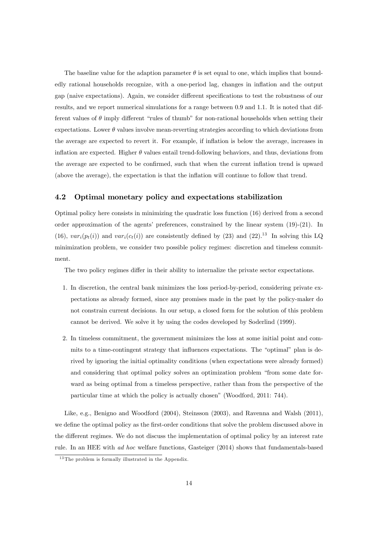The baseline value for the adaption parameter  $\theta$  is set equal to one, which implies that boundedly rational households recognize, with a one-period lag, changes in inflation and the output gap (naive expectations). Again, we consider different specifications to test the robustness of our results, and we report numerical simulations for a range between 0.9 and 1.1. It is noted that different values of  $\theta$  imply different "rules of thumb" for non-rational households when setting their expectations. Lower  $\theta$  values involve mean-reverting strategies according to which deviations from the average are expected to revert it. For example, if ináation is below the average, increases in inflation are expected. Higher  $\theta$  values entail trend-following behaviors, and thus, deviations from the average are expected to be confirmed, such that when the current inflation trend is upward (above the average), the expectation is that the inflation will continue to follow that trend.

#### 4.2 Optimal monetary policy and expectations stabilization

Optimal policy here consists in minimizing the quadratic loss function (16) derived from a second order approximation of the agents' preferences, constrained by the linear system  $(19)-(21)$ . In (16),  $var_i(p_t(i))$  and  $var_i(c_t(i))$  are consistently defined by (23) and (22).<sup>13</sup> In solving this LQ minimization problem, we consider two possible policy regimes: discretion and timeless commitment.

The two policy regimes differ in their ability to internalize the private sector expectations.

- 1. In discretion, the central bank minimizes the loss period-by-period, considering private expectations as already formed, since any promises made in the past by the policy-maker do not constrain current decisions. In our setup, a closed form for the solution of this problem cannot be derived. We solve it by using the codes developed by Soderlind (1999).
- 2. In timeless commitment, the government minimizes the loss at some initial point and commits to a time-contingent strategy that influences expectations. The "optimal" plan is derived by ignoring the initial optimality conditions (when expectations were already formed) and considering that optimal policy solves an optimization problem "from some date forward as being optimal from a timeless perspective, rather than from the perspective of the particular time at which the policy is actually chosen" (Woodford, 2011: 744).

Like, e.g., Benigno and Woodford (2004), Steinsson (2003), and Ravenna and Walsh (2011), we define the optimal policy as the first-order conditions that solve the problem discussed above in the different regimes. We do not discuss the implementation of optimal policy by an interest rate rule. In an HEE with ad hoc welfare functions, Gasteiger (2014) shows that fundamentals-based

 $13$  The problem is formally illustrated in the Appendix.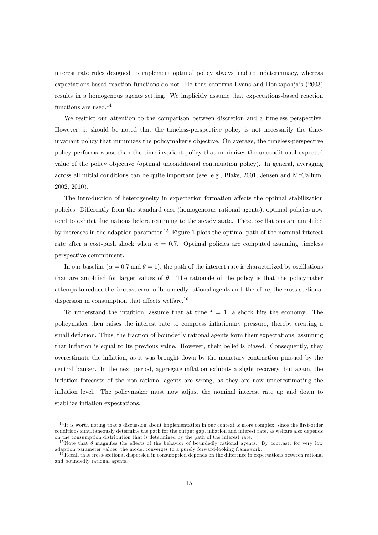interest rate rules designed to implement optimal policy always lead to indeterminacy, whereas expectations-based reaction functions do not. He thus confirms Evans and Honkapohia's (2003) results in a homogenous agents setting. We implicitly assume that expectations-based reaction functions are used.<sup>14</sup>

We restrict our attention to the comparison between discretion and a timeless perspective. However, it should be noted that the timeless-perspective policy is not necessarily the timeinvariant policy that minimizes the policymaker's objective. On average, the timeless-perspective policy performs worse than the time-invariant policy that minimizes the unconditional expected value of the policy objective (optimal unconditional continuation policy). In general, averaging across all initial conditions can be quite important (see, e.g., Blake, 2001; Jensen and McCallum, 2002, 2010).

The introduction of heterogeneity in expectation formation affects the optimal stabilization policies. Differently from the standard case (homogeneous rational agents), optimal policies now tend to exhibit fluctuations before returning to the steady state. These oscillations are amplified by increases in the adaption parameter.<sup>15</sup> Figure 1 plots the optimal path of the nominal interest rate after a cost-push shock when  $\alpha = 0.7$ . Optimal policies are computed assuming timeless perspective commitment.

In our baseline  $(\alpha = 0.7 \text{ and } \theta = 1)$ , the path of the interest rate is characterized by oscillations that are amplified for larger values of  $\theta$ . The rationale of the policy is that the policymaker attemps to reduce the forecast error of boundedly rational agents and, therefore, the cross-sectional dispersion in consumption that affects welfare.<sup>16</sup>

To understand the intuition, assume that at time  $t = 1$ , a shock hits the economy. The policymaker then raises the interest rate to compress ináationary pressure, thereby creating a small deflation. Thus, the fraction of boundedly rational agents form their expectations, assuming that inflation is equal to its previous value. However, their belief is biased. Consequently, they overestimate the ináation, as it was brought down by the monetary contraction pursued by the central banker. In the next period, aggregate inflation exhibits a slight recovery, but again, the inflation forecasts of the non-rational agents are wrong, as they are now underestimating the inflation level. The policymaker must now adjust the nominal interest rate up and down to stabilize inflation expectations.

 $14$ It is worth noting that a discussion about implementation in our context is more complex, since the first-order conditions simultaneously determine the path for the output gap, inflation and interest rate, as welfare also depends on the consumption distribution that is determined by the path of the interest rate.

<sup>&</sup>lt;sup>15</sup>Note that  $\theta$  magnifies the effects of the behavior of boundedly rational agents. By contrast, for very low adaption parameter values, the model converges to a purely forward-looking framework.

 $16$ Recall that cross-sectional dispersion in consumption depends on the difference in expectations between rational and boundedly rational agents.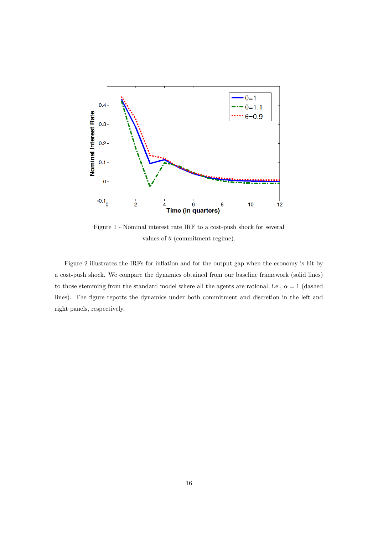

Figure 1 - Nominal interest rate IRF to a cost-push shock for several values of  $\theta$  (commitment regime).

Figure 2 illustrates the IRFs for inflation and for the output gap when the economy is hit by a cost-push shock. We compare the dynamics obtained from our baseline framework (solid lines) to those stemming from the standard model where all the agents are rational, i.e.,  $\alpha = 1$  (dashed lines). The figure reports the dynamics under both commitment and discretion in the left and right panels, respectively.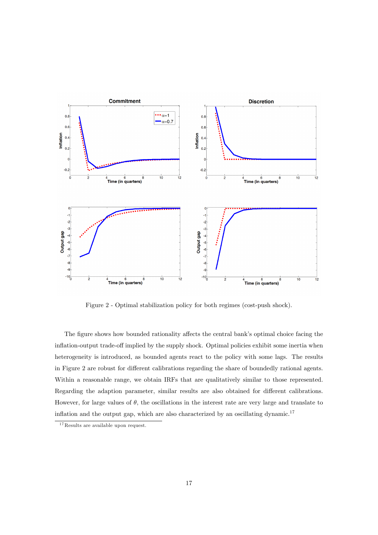

Figure 2 - Optimal stabilization policy for both regimes (cost-push shock).

The figure shows how bounded rationality affects the central bank's optimal choice facing the inflation-output trade-off implied by the supply shock. Optimal policies exhibit some inertia when heterogeneity is introduced, as bounded agents react to the policy with some lags. The results in Figure 2 are robust for different calibrations regarding the share of boundedly rational agents. Within a reasonable range, we obtain IRFs that are qualitatively similar to those represented. Regarding the adaption parameter, similar results are also obtained for different calibrations. However, for large values of  $\theta$ , the oscillations in the interest rate are very large and translate to inflation and the output gap, which are also characterized by an oscillating dynamic.<sup>17</sup>

 $^{17}\mathrm{Results}$  are available upon request.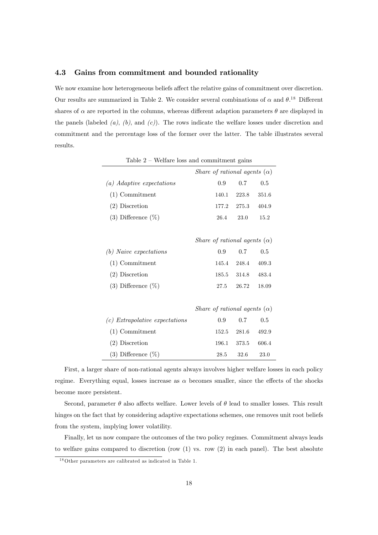### 4.3 Gains from commitment and bounded rationality

We now examine how heterogeneous beliefs affect the relative gains of commitment over discretion. Our results are summarized in Table 2. We consider several combinations of  $\alpha$  and  $\theta$ .<sup>18</sup> Different shares of  $\alpha$  are reported in the columns, whereas different adaption parameters  $\theta$  are displayed in the panels (labeled  $(a)$ ,  $(b)$ , and  $(c)$ ). The rows indicate the welfare losses under discretion and commitment and the percentage loss of the former over the latter. The table illustrates several results.

|                                  |                                     |       | Share of rational agents $(\alpha)$ |       |  |
|----------------------------------|-------------------------------------|-------|-------------------------------------|-------|--|
| (a) Adaptive expectations        |                                     | 0.9   | 0.7                                 | 0.5   |  |
| $(1)$ Commitment                 |                                     | 140.1 | 223.8                               | 351.6 |  |
| $(2)$ Discretion                 |                                     | 177.2 | 275.3                               | 404.9 |  |
| $(3)$ Difference $(\%)$          |                                     | 26.4  | 23.0                                | 15.2  |  |
|                                  |                                     |       |                                     |       |  |
|                                  |                                     |       | Share of rational agents $(\alpha)$ |       |  |
| $(b)$ Naive expectations         |                                     | 0.9   | 0.7                                 | 0.5   |  |
| $(1)$ Commitment                 |                                     | 145.4 | 248.4                               | 409.3 |  |
| $(2)$ Discretion                 |                                     | 185.5 | 314.8                               | 483.4 |  |
| (3) Difference $(\%)$            |                                     | 27.5  | 26.72                               | 18.09 |  |
|                                  |                                     |       |                                     |       |  |
|                                  | Share of rational agents $(\alpha)$ |       |                                     |       |  |
| $(c)$ Extrapolative expectations |                                     | 0.9   | 0.7                                 | 0.5   |  |
| $(1)$ Commitment                 |                                     | 152.5 | 281.6                               | 492.9 |  |
| $(2)$ Discretion                 |                                     | 196.1 | 373.5                               | 606.4 |  |
| $(3)$ Difference $(\%)$          |                                     | 28.5  | 32.6                                | 23.0  |  |

Table  $2$  – Welfare loss and commitment gains

First, a larger share of non-rational agents always involves higher welfare losses in each policy regime. Everything equal, losses increase as  $\alpha$  becomes smaller, since the effects of the shocks become more persistent.

Second, parameter  $\theta$  also affects welfare. Lower levels of  $\theta$  lead to smaller losses. This result hinges on the fact that by considering adaptive expectations schemes, one removes unit root beliefs from the system, implying lower volatility.

Finally, let us now compare the outcomes of the two policy regimes. Commitment always leads to welfare gains compared to discretion (row  $(1)$  vs. row  $(2)$  in each panel). The best absolute

<sup>&</sup>lt;sup>18</sup>Other parameters are calibrated as indicated in Table 1.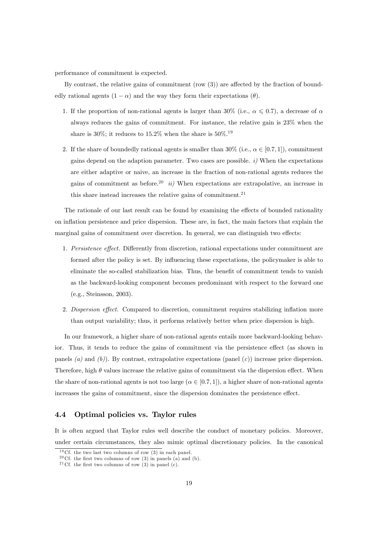performance of commitment is expected.

By contrast, the relative gains of commitment (row  $(3)$ ) are affected by the fraction of boundedly rational agents  $(1 - \alpha)$  and the way they form their expectations  $(\theta)$ .

- 1. If the proportion of non-rational agents is larger than 30% (i.e.,  $\alpha \leqslant 0.7$ ), a decrease of  $\alpha$ always reduces the gains of commitment. For instance, the relative gain is 23% when the share is 30%; it reduces to 15.2% when the share is  $50\%$ .<sup>19</sup>
- 2. If the share of boundedly rational agents is smaller than  $30\%$  (i.e.,  $\alpha \in [0.7, 1]$ ), commitment gains depend on the adaption parameter. Two cases are possible.  $i$ ) When the expectations are either adaptive or naive, an increase in the fraction of non-rational agents reduces the gains of commitment as before.<sup>20</sup> ii) When expectations are extrapolative, an increase in this share instead increases the relative gains of commitment.<sup>21</sup>

The rationale of our last result can be found by examining the effects of bounded rationality on ináation persistence and price dispersion. These are, in fact, the main factors that explain the marginal gains of commitment over discretion. In general, we can distinguish two effects:

- 1. Persistence effect. Differently from discretion, rational expectations under commitment are formed after the policy is set. By influencing these expectations, the policymaker is able to eliminate the so-called stabilization bias. Thus, the benefit of commitment tends to vanish as the backward-looking component becomes predominant with respect to the forward one (e.g., Steinsson, 2003).
- 2. Dispersion effect. Compared to discretion, commitment requires stabilizing inflation more than output variability; thus, it performs relatively better when price dispersion is high.

In our framework, a higher share of non-rational agents entails more backward-looking behavior. Thus, it tends to reduce the gains of commitment via the persistence effect (as shown in panels (a) and (b)). By contrast, extrapolative expectations (panel  $(c)$ ) increase price dispersion. Therefore, high  $\theta$  values increase the relative gains of commitment via the dispersion effect. When the share of non-rational agents is not too large  $(\alpha \in [0.7, 1])$ , a higher share of non-rational agents increases the gains of commitment, since the dispersion dominates the persistence effect.

#### 4.4 Optimal policies vs. Taylor rules

It is often argued that Taylor rules well describe the conduct of monetary policies. Moreover, under certain circumstances, they also mimic optimal discretionary policies. In the canonical

 $19Cf$ . the two last two columns of row (3) in each panel.

<sup>&</sup>lt;sup>20</sup> Cf. the first two columns of row (3) in panels (a) and (b).

<sup>&</sup>lt;sup>21</sup> Cf. the first two columns of row  $(3)$  in panel (c).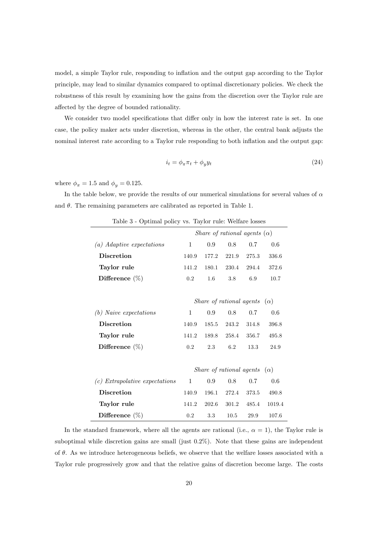model, a simple Taylor rule, responding to inflation and the output gap according to the Taylor principle, may lead to similar dynamics compared to optimal discretionary policies. We check the robustness of this result by examining how the gains from the discretion over the Taylor rule are affected by the degree of bounded rationality.

We consider two model specifications that differ only in how the interest rate is set. In one case, the policy maker acts under discretion, whereas in the other, the central bank adjusts the nominal interest rate according to a Taylor rule responding to both inflation and the output gap:

$$
i_t = \phi_\pi \pi_t + \phi_y y_t \tag{24}
$$

where  $\phi_{\pi} = 1.5$  and  $\phi_{y} = 0.125$ .

In the table below, we provide the results of our numerical simulations for several values of  $\alpha$ and  $\theta$ . The remaining parameters are calibrated as reported in Table 1.

| opening policy vs. Laytor rare. Wellen's respect |              |         |                                     |       |        |
|--------------------------------------------------|--------------|---------|-------------------------------------|-------|--------|
|                                                  |              |         | Share of rational agents $(\alpha)$ |       |        |
| (a) Adaptive expectations                        | 1            | 0.9     | 0.8                                 | 0.7   | 0.6    |
| <b>Discretion</b>                                | 140.9        | 177.2   | 221.9                               | 275.3 | 336.6  |
| Taylor rule                                      | 141.2        | 180.1   | 230.4                               | 294.4 | 372.6  |
| Difference $(\%)$                                | 0.2          | $1.6\,$ | 3.8                                 | 6.9   | 10.7   |
|                                                  |              |         |                                     |       |        |
|                                                  |              |         | Share of rational agents $(\alpha)$ |       |        |
| $(b)$ Naive expectations                         | 1            | 0.9     | 0.8                                 | 0.7   | 0.6    |
| <b>Discretion</b>                                | 140.9        | 185.5   | 243.2                               | 314.8 | 396.8  |
| Taylor rule                                      | 141.2        | 189.8   | 258.4                               | 356.7 | 495.8  |
| Difference $(\%)$                                | 0.2          | 2.3     | 6.2                                 | 13.3  | 24.9   |
|                                                  |              |         |                                     |       |        |
|                                                  |              |         | Share of rational agents $(\alpha)$ |       |        |
| $(c)$ Extrapolative expectations                 | $\mathbf{1}$ | 0.9     | 0.8                                 | 0.7   | 0.6    |
| <b>Discretion</b>                                | 140.9        | 196.1   | 272.4                               | 373.5 | 490.8  |
| Taylor rule                                      | 141.2        | 202.6   | 301.2                               | 485.4 | 1019.4 |
| Difference $(\%)$                                | 0.2          | 3.3     | 10.5                                | 29.9  | 107.6  |

Table 3 - Optimal policy vs. Taylor rule: Welfare losses

In the standard framework, where all the agents are rational (i.e.,  $\alpha = 1$ ), the Taylor rule is suboptimal while discretion gains are small (just  $0.2\%$ ). Note that these gains are independent of  $\theta$ . As we introduce heterogeneous beliefs, we observe that the welfare losses associated with a Taylor rule progressively grow and that the relative gains of discretion become large. The costs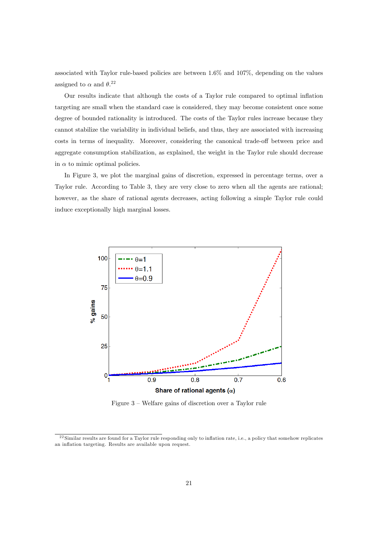associated with Taylor rule-based policies are between 1:6% and 107%, depending on the values assigned to  $\alpha$  and  $\theta$ <sup>22</sup>

Our results indicate that although the costs of a Taylor rule compared to optimal ináation targeting are small when the standard case is considered, they may become consistent once some degree of bounded rationality is introduced. The costs of the Taylor rules increase because they cannot stabilize the variability in individual beliefs, and thus, they are associated with increasing costs in terms of inequality. Moreover, considering the canonical trade-off between price and aggregate consumption stabilization, as explained, the weight in the Taylor rule should decrease in  $\alpha$  to mimic optimal policies.

In Figure 3, we plot the marginal gains of discretion, expressed in percentage terms, over a Taylor rule. According to Table 3, they are very close to zero when all the agents are rational; however, as the share of rational agents decreases, acting following a simple Taylor rule could induce exceptionally high marginal losses.



Figure  $3$  – Welfare gains of discretion over a Taylor rule

 $22$  Similar results are found for a Taylor rule responding only to inflation rate, i.e., a policy that somehow replicates an inflation targeting. Results are available upon request.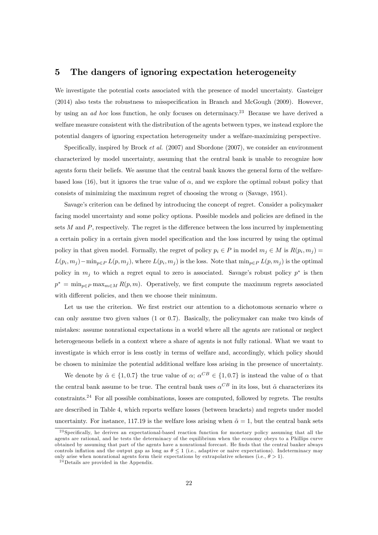## 5 The dangers of ignoring expectation heterogeneity

We investigate the potential costs associated with the presence of model uncertainty. Gasteiger  $(2014)$  also tests the robustness to misspecification in Branch and McGough  $(2009)$ . However, by using an ad hoc loss function, he only focuses on determinacy.<sup>23</sup> Because we have derived a welfare measure consistent with the distribution of the agents between types, we instead explore the potential dangers of ignoring expectation heterogeneity under a welfare-maximizing perspective.

Specifically, inspired by Brock *et al.*  $(2007)$  and Sbordone  $(2007)$ , we consider an environment characterized by model uncertainty, assuming that the central bank is unable to recognize how agents form their beliefs. We assume that the central bank knows the general form of the welfarebased loss (16), but it ignores the true value of  $\alpha$ , and we explore the optimal robust policy that consists of minimizing the maximum regret of choosing the wrong  $\alpha$  (Savage, 1951).

Savage's criterion can be defined by introducing the concept of regret. Consider a policymaker facing model uncertainty and some policy options. Possible models and policies are defined in the sets  $M$  and  $P$ , respectively. The regret is the difference between the loss incurred by implementing a certain policy in a certain given model specification and the loss incurred by using the optimal policy in that given model. Formally, the regret of policy  $p_i \in P$  in model  $m_j \in M$  is  $R(p_i, m_j) =$  $L(p_i, m_j) - \min_{p \in P} L(p, m_j)$ , where  $L(p_i, m_j)$  is the loss. Note that  $\min_{p \in P} L(p, m_j)$  is the optimal policy in  $m_j$  to which a regret equal to zero is associated. Savage's robust policy  $p^*$  is then  $p^* = \min_{p \in P} \max_{m \in M} R(p, m)$ . Operatively, we first compute the maximum regrets associated with different policies, and then we choose their minimum.

Let us use the criterion. We first restrict our attention to a dichotomous scenario where  $\alpha$ can only assume two given values (1 or 0:7). Basically, the policymaker can make two kinds of mistakes: assume nonrational expectations in a world where all the agents are rational or neglect heterogeneous beliefs in a context where a share of agents is not fully rational. What we want to investigate is which error is less costly in terms of welfare and, accordingly, which policy should be chosen to minimize the potential additional welfare loss arising in the presence of uncertainty.

We denote by  $\tilde{\alpha} \in \{1, 0.7\}$  the true value of  $\alpha$ ;  $\alpha^{CB} \in \{1, 0.7\}$  is instead the value of  $\alpha$  that the central bank assume to be true. The central bank uses  $\alpha^{CB}$  in its loss, but  $\tilde{\alpha}$  characterizes its constraints.<sup>24</sup> For all possible combinations, losses are computed, followed by regrets. The results are described in Table 4, which reports welfare losses (between brackets) and regrets under model uncertainty. For instance, 117.19 is the welfare loss arising when  $\tilde{\alpha} = 1$ , but the central bank sets

<sup>&</sup>lt;sup>23</sup> Specifically, he derives an expectational-based reaction function for monetary policy assuming that all the agents are rational, and he tests the determinacy of the equilibrium when the economy obeys to a Phillips curve obtained by assuming that part of the agents have a nonrational forecast. He Önds that the central banker always controls inflation and the output gap as long as  $\theta \leq 1$  (i.e., adaptive or naive expectations). Indeterminacy may only arise when nonrational agents form their expectations by extrapolative schemes (i.e.,  $\theta > 1$ ).

 $24$ Details are provided in the Appendix.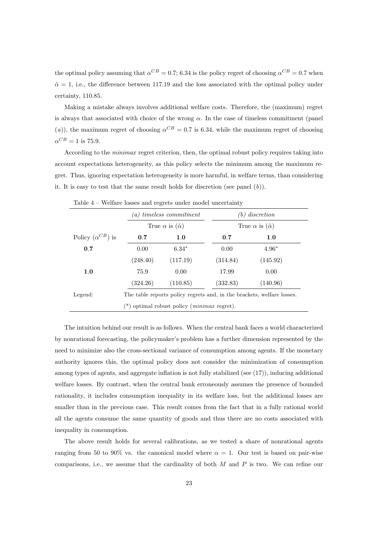the optimal policy assuming that  $\alpha^{CB} = 0.7$ ; 6.34 is the policy regret of choosing  $\alpha^{CB} = 0.7$  when  $\tilde{\alpha} = 1$ , i.e., the difference between 117.19 and the loss associated with the optimal policy under certainty, 110:85.

Making a mistake always involves additional welfare costs. Therefore, the (maximum) regret is always that associated with choice of the wrong  $\alpha$ . In the case of timeless commitment (panel (a)), the maximum regret of choosing  $\alpha^{CB} = 0.7$  is 6.34, while the maximum regret of choosing  $\alpha^{CB} = 1$  is 75.9.

According to the *minimax* regret criterion, then, the optimal robust policy requires taking into account expectations heterogeneity, as this policy selects the minimum among the maximum regret. Thus, ignoring expectation heterogeneity is more harmful, in welfare terms, than considering it. It is easy to test that the same result holds for discretion (see panel  $(b)$ ).

|                           | $(a)$ timeless commitment<br>True $\alpha$ is $(\tilde{\alpha})$ |                                                       | $(b)$ discretion<br>True $\alpha$ is $(\tilde{\alpha})$ |                                                                        |  |
|---------------------------|------------------------------------------------------------------|-------------------------------------------------------|---------------------------------------------------------|------------------------------------------------------------------------|--|
|                           |                                                                  |                                                       |                                                         |                                                                        |  |
| Policy $(\alpha^{CB})$ is | 0.7                                                              | 1.0                                                   | 0.7                                                     | 1.0                                                                    |  |
| 0.7                       | 0.00                                                             | $6.34*$                                               | 0.00                                                    | $4.96*$                                                                |  |
|                           | (248.40)                                                         | (117.19)                                              | (314.84)                                                | (145.92)                                                               |  |
| 1.0                       | 75.9                                                             | 0.00                                                  | 17.99                                                   | 0.00                                                                   |  |
|                           | (324.26)                                                         | (110.85)                                              | (332.83)                                                | (140.96)                                                               |  |
| Legend:                   |                                                                  |                                                       |                                                         | The table reports policy regrets and, in the brackets, welfare losses. |  |
|                           |                                                                  | $(*)$ optimal robust policy ( <i>minimax</i> regret). |                                                         |                                                                        |  |

Table  $4$  – Welfare losses and regrets under model uncertainty

The intuition behind our result is as follows. When the central bank faces a world characterized by nonrational forecasting, the policymakerís problem has a further dimension represented by the need to minimize also the cross-sectional variance of consumption among agents. If the monetary authority ignores this, the optimal policy does not consider the minimization of consumption among types of agents, and aggregate inflation is not fully stabilized (see (17)), inducing additional welfare losses. By contrast, when the central bank erroneously assumes the presence of bounded rationality, it includes consumption inequality in its welfare loss, but the additional losses are smaller than in the previous case. This result comes from the fact that in a fully rational world all the agents consume the same quantity of goods and thus there are no costs associated with inequality in consumption.

The above result holds for several calibrations, as we tested a share of nonrational agents ranging from 50 to 90% vs. the canonical model where  $\alpha = 1$ . Our test is based on pair-wise comparisons, i.e., we assume that the cardinality of both  $M$  and  $P$  is two. We can refine our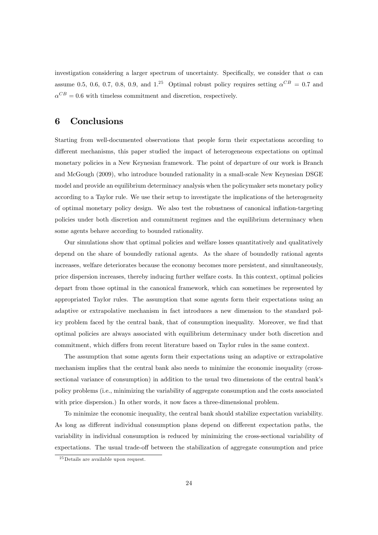investigation considering a larger spectrum of uncertainty. Specifically, we consider that  $\alpha$  can assume 0.5, 0.6, 0.7, 0.8, 0.9, and  $1.^{25}$  Optimal robust policy requires setting  $\alpha^{CB} = 0.7$  and  $\alpha^{CB} = 0.6$  with timeless commitment and discretion, respectively.

## 6 Conclusions

Starting from well-documented observations that people form their expectations according to different mechanisms, this paper studied the impact of heterogeneous expectations on optimal monetary policies in a New Keynesian framework. The point of departure of our work is Branch and McGough (2009), who introduce bounded rationality in a small-scale New Keynesian DSGE model and provide an equilibrium determinacy analysis when the policymaker sets monetary policy according to a Taylor rule. We use their setup to investigate the implications of the heterogeneity of optimal monetary policy design. We also test the robustness of canonical ináation-targeting policies under both discretion and commitment regimes and the equilibrium determinacy when some agents behave according to bounded rationality.

Our simulations show that optimal policies and welfare losses quantitatively and qualitatively depend on the share of boundedly rational agents. As the share of boundedly rational agents increases, welfare deteriorates because the economy becomes more persistent, and simultaneously, price dispersion increases, thereby inducing further welfare costs. In this context, optimal policies depart from those optimal in the canonical framework, which can sometimes be represented by appropriated Taylor rules. The assumption that some agents form their expectations using an adaptive or extrapolative mechanism in fact introduces a new dimension to the standard policy problem faced by the central bank, that of consumption inequality. Moreover, we find that optimal policies are always associated with equilibrium determinacy under both discretion and commitment, which differs from recent literature based on Taylor rules in the same context.

The assumption that some agents form their expectations using an adaptive or extrapolative mechanism implies that the central bank also needs to minimize the economic inequality (crosssectional variance of consumption) in addition to the usual two dimensions of the central bank's policy problems (i.e., minimizing the variability of aggregate consumption and the costs associated with price dispersion.) In other words, it now faces a three-dimensional problem.

To minimize the economic inequality, the central bank should stabilize expectation variability. As long as different individual consumption plans depend on different expectation paths, the variability in individual consumption is reduced by minimizing the cross-sectional variability of expectations. The usual trade-off between the stabilization of aggregate consumption and price

 $2<sup>5</sup>$  Details are available upon request.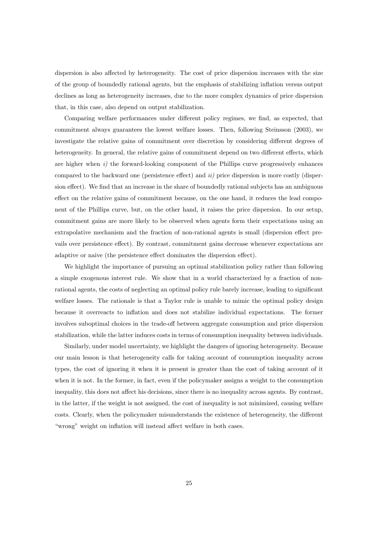dispersion is also affected by heterogeneity. The cost of price dispersion increases with the size of the group of boundedly rational agents, but the emphasis of stabilizing ináation versus output declines as long as heterogeneity increases, due to the more complex dynamics of price dispersion that, in this case, also depend on output stabilization.

Comparing welfare performances under different policy regimes, we find, as expected, that commitment always guarantees the lowest welfare losses. Then, following Steinsson (2003), we investigate the relative gains of commitment over discretion by considering different degrees of heterogeneity. In general, the relative gains of commitment depend on two different effects, which are higher when  $i$ ) the forward-looking component of the Phillips curve progressively enhances compared to the backward one (persistence effect) and  $ii$ ) price dispersion is more costly (dispersion effect). We find that an increase in the share of boundedly rational subjects has an ambiguous effect on the relative gains of commitment because, on the one hand, it reduces the lead component of the Phillips curve, but, on the other hand, it raises the price dispersion. In our setup, commitment gains are more likely to be observed when agents form their expectations using an extrapolative mechanism and the fraction of non-rational agents is small (dispersion effect prevails over persistence effect). By contrast, commitment gains decrease whenever expectations are adaptive or naive (the persistence effect dominates the dispersion effect).

We highlight the importance of pursuing an optimal stabilization policy rather than following a simple exogenous interest rule. We show that in a world characterized by a fraction of nonrational agents, the costs of neglecting an optimal policy rule barely increase, leading to significant welfare losses. The rationale is that a Taylor rule is unable to mimic the optimal policy design because it overreacts to ináation and does not stabilize individual expectations. The former involves suboptimal choices in the trade-off between aggregate consumption and price dispersion stabilization, while the latter induces costs in terms of consumption inequality between individuals.

Similarly, under model uncertainty, we highlight the dangers of ignoring heterogeneity. Because our main lesson is that heterogeneity calls for taking account of consumption inequality across types, the cost of ignoring it when it is present is greater than the cost of taking account of it when it is not. In the former, in fact, even if the policymaker assigns a weight to the consumption inequality, this does not affect his decisions, since there is no inequality across agents. By contrast, in the latter, if the weight is not assigned, the cost of inequality is not minimized, causing welfare costs. Clearly, when the policymaker misunderstands the existence of heterogeneity, the different "wrong" weight on inflation will instead affect welfare in both cases.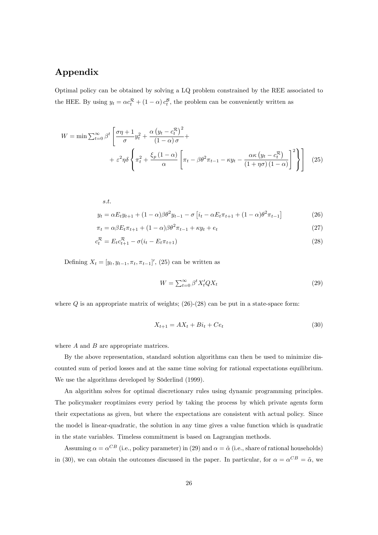## Appendix

Optimal policy can be obtained by solving a LQ problem constrained by the REE associated to the HEE. By using  $y_t = \alpha c_t^{\mathcal{R}} + (1 - \alpha) c_t^{\mathcal{B}}$ , the problem can be conveniently written as

$$
W = \min \sum_{t=0}^{\infty} \beta^t \left[ \frac{\sigma \eta + 1}{\sigma} y_t^2 + \frac{\alpha \left( y_t - c_t^{\mathcal{R}} \right)^2}{(1 - \alpha) \sigma} + \frac{\alpha \left( y_t - c_t^{\mathcal{R}} \right)^2}{\alpha} + \varepsilon^2 \eta \delta \left\{ \pi_t^2 + \frac{\xi_p (1 - \alpha)}{\alpha} \left[ \pi_t - \beta \theta^2 \pi_{t-1} - \kappa y_t - \frac{\alpha \kappa \left( y_t - c_t^{\mathcal{R}} \right)}{(1 + \eta \sigma) (1 - \alpha)} \right]^2 \right\} \right] \tag{25}
$$

s.t.  
\n
$$
y_t = \alpha E_t y_{t+1} + (1 - \alpha)\beta \theta^2 y_{t-1} - \sigma \left[ i_t - \alpha E_t \pi_{t+1} + (1 - \alpha)\theta^2 \pi_{t-1} \right]
$$
\n(26)

$$
\pi_t = \alpha \beta E_t \pi_{t+1} + (1 - \alpha) \beta \theta^2 \pi_{t-1} + \kappa y_t + e_t \tag{27}
$$

$$
c_t^{\mathcal{R}} = E_t c_{t+1}^{\mathcal{R}} - \sigma(i_t - E_t \pi_{t+1})
$$
\n(28)

Defining  $X_t = [y_t, y_{t-1}, \pi_t, \pi_{t-1}]'$ , (25) can be written as

$$
W = \sum_{t=0}^{\infty} \beta^t X_t' Q X_t \tag{29}
$$

where  $Q$  is an appropriate matrix of weights; (26)-(28) can be put in a state-space form:

$$
X_{t+1} = AX_t + Bi_t + Ce_t \tag{30}
$$

where A and B are appropriate matrices.

By the above representation, standard solution algorithms can then be used to minimize discounted sum of period losses and at the same time solving for rational expectations equilibrium. We use the algorithms developed by Söderlind (1999).

An algorithm solves for optimal discretionary rules using dynamic programming principles. The policymaker reoptimizes every period by taking the process by which private agents form their expectations as given, but where the expectations are consistent with actual policy. Since the model is linear-quadratic, the solution in any time gives a value function which is quadratic in the state variables. Timeless commitment is based on Lagrangian methods.

Assuming  $\alpha = \alpha^{CB}$  (i.e., policy parameter) in (29) and  $\alpha = \tilde{\alpha}$  (i.e., share of rational households) in (30), we can obtain the outcomes discussed in the paper. In particular, for  $\alpha = \alpha^{CB} = \tilde{\alpha}$ , we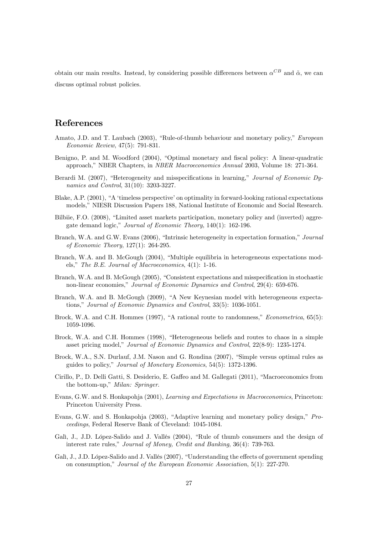obtain our main results. Instead, by considering possible differences between  $\alpha^{CB}$  and  $\tilde{\alpha}$ , we can discuss optimal robust policies.

## References

- Amato, J.D. and T. Laubach (2003), "Rule-of-thumb behaviour and monetary policy," European Economic Review, 47(5): 791-831.
- Benigno, P. and M. Woodford (2004), "Optimal monetary and fiscal policy: A linear-quadratic approach," NBER Chapters, in *NBER Macroeconomics Annual* 2003, Volume 18: 271-364.
- Berardi M. (2007), "Heterogeneity and misspecifications in learning," Journal of Economic Dynamics and Control, 31(10): 3203-3227.
- Blake, A.P. (2001), "A 'timeless perspective' on optimality in forward-looking rational expectations models," NIESR Discussion Papers 188, National Institute of Economic and Social Research.
- Bilbiie, F.O. (2008), "Limited asset markets participation, monetary policy and (inverted) aggregate demand logic," Journal of Economic Theory,  $140(1)$ : 162-196.
- Branch, W.A. and G.W. Evans (2006), "Intrinsic heterogeneity in expectation formation," Journal of Economic Theory, 127(1): 264-295.
- Branch, W.A. and B. McGough (2004), "Multiple equilibria in heterogeneous expectations models," The B.E. Journal of Macroeconomics,  $4(1)$ : 1-16.
- Branch, W.A. and B. McGough (2005), "Consistent expectations and misspecification in stochastic non-linear economies," Journal of Economic Dynamics and Control, 29(4): 659-676.
- Branch, W.A. and B. McGough (2009), "A New Keynesian model with heterogeneous expectations," Journal of Economic Dynamics and Control, 33(5): 1036-1051.
- Brock, W.A. and C.H. Hommes (1997), "A rational route to randomness,"  $Econometrica$ , 65(5): 1059-1096.
- Brock, W.A. and C.H. Hommes (1998), "Heterogeneous beliefs and routes to chaos in a simple asset pricing model," Journal of Economic Dynamics and Control, 22(8-9): 1235-1274.
- Brock, W.A., S.N. Durlauf, J.M. Nason and G. Rondina (2007), "Simple versus optimal rules as guides to policy," Journal of Monetary Economics, 54(5): 1372-1396.
- Cirillo, P., D. Delli Gatti, S. Desiderio, E. Gaffeo and M. Gallegati (2011), "Macroeconomics from the bottom-up," Milan: Springer.
- Evans, G.W. and S. Honkapohja (2001), Learning and Expectations in Macroeconomics, Princeton: Princeton University Press.
- Evans, G.W. and S. Honkapohja (2003), "Adaptive learning and monetary policy design," Proceedings, Federal Reserve Bank of Cleveland: 1045-1084.
- Galì, J., J.D. López-Salido and J. Vallés (2004), "Rule of thumb consumers and the design of interest rate rules," Journal of Money, Credit and Banking, 36(4): 739-763.
- Galì, J., J.D. López-Salido and J. Vallés (2007), "Understanding the effects of government spending on consumption," Journal of the European Economic Association,  $5(1)$ : 227-270.